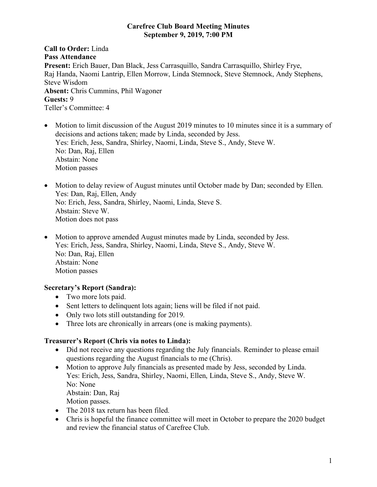#### **Carefree Club Board Meeting Minutes September 9, 2019, 7:00 PM**

**Call to Order:** Linda **Pass Attendance Present:** Erich Bauer, Dan Black, Jess Carrasquillo, Sandra Carrasquillo, Shirley Frye, Raj Handa, Naomi Lantrip, Ellen Morrow, Linda Stemnock, Steve Stemnock, Andy Stephens, Steve Wisdom **Absent:** Chris Cummins, Phil Wagoner **Guests:** 9 Teller's Committee: 4

- Motion to limit discussion of the August 2019 minutes to 10 minutes since it is a summary of decisions and actions taken; made by Linda, seconded by Jess. Yes: Erich, Jess, Sandra, Shirley, Naomi, Linda, Steve S., Andy, Steve W. No: Dan, Raj, Ellen Abstain: None Motion passes
- Motion to delay review of August minutes until October made by Dan; seconded by Ellen. Yes: Dan, Raj, Ellen, Andy No: Erich, Jess, Sandra, Shirley, Naomi, Linda, Steve S. Abstain: Steve W. Motion does not pass
- Motion to approve amended August minutes made by Linda, seconded by Jess. Yes: Erich, Jess, Sandra, Shirley, Naomi, Linda, Steve S., Andy, Steve W. No: Dan, Raj, Ellen Abstain: None Motion passes

# **Secretary's Report (Sandra):**

- Two more lots paid.
- Sent letters to delinguent lots again; liens will be filed if not paid.
- Only two lots still outstanding for 2019.
- Three lots are chronically in arrears (one is making payments).

# **Treasurer's Report (Chris via notes to Linda):**

- Did not receive any questions regarding the July financials. Reminder to please email questions regarding the August financials to me (Chris).
- Motion to approve July financials as presented made by Jess, seconded by Linda. Yes: Erich, Jess, Sandra, Shirley, Naomi, Ellen, Linda, Steve S., Andy, Steve W. No: None Abstain: Dan, Raj Motion passes.
- The 2018 tax return has been filed.
- Chris is hopeful the finance committee will meet in October to prepare the 2020 budget and review the financial status of Carefree Club.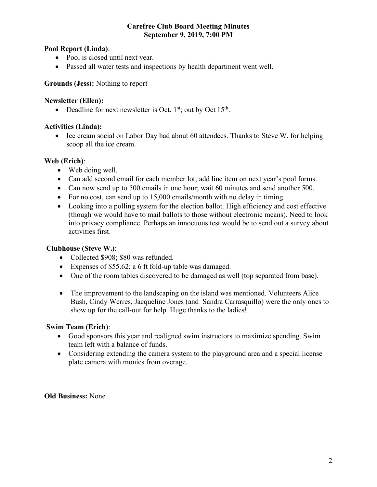#### **Carefree Club Board Meeting Minutes September 9, 2019, 7:00 PM**

# **Pool Report (Linda)**:

- Pool is closed until next year.
- Passed all water tests and inspections by health department went well.

# **Grounds (Jess):** Nothing to report

### **Newsletter (Ellen):**

• Deadline for next newsletter is Oct.  $1<sup>st</sup>$ ; out by Oct  $15<sup>th</sup>$ .

# **Activities (Linda):**

• Ice cream social on Labor Day had about 60 attendees. Thanks to Steve W. for helping scoop all the ice cream.

# **Web (Erich)**:

- Web doing well.
- Can add second email for each member lot; add line item on next year's pool forms.
- Can now send up to 500 emails in one hour; wait 60 minutes and send another 500.
- For no cost, can send up to 15,000 emails/month with no delay in timing.
- Looking into a polling system for the election ballot. High efficiency and cost effective (though we would have to mail ballots to those without electronic means). Need to look into privacy compliance. Perhaps an innocuous test would be to send out a survey about activities first.

# **Clubhouse (Steve W.)**:

- Collected \$908; \$80 was refunded.
- Expenses of \$55.62; a 6 ft fold-up table was damaged.
- One of the room tables discovered to be damaged as well (top separated from base).
- The improvement to the landscaping on the island was mentioned. Volunteers Alice Bush, Cindy Werres, Jacqueline Jones (and Sandra Carrasquillo) were the only ones to show up for the call-out for help. Huge thanks to the ladies!

#### **Swim Team (Erich)**:

- Good sponsors this year and realigned swim instructors to maximize spending. Swim team left with a balance of funds.
- Considering extending the camera system to the playground area and a special license plate camera with monies from overage.

#### **Old Business:** None